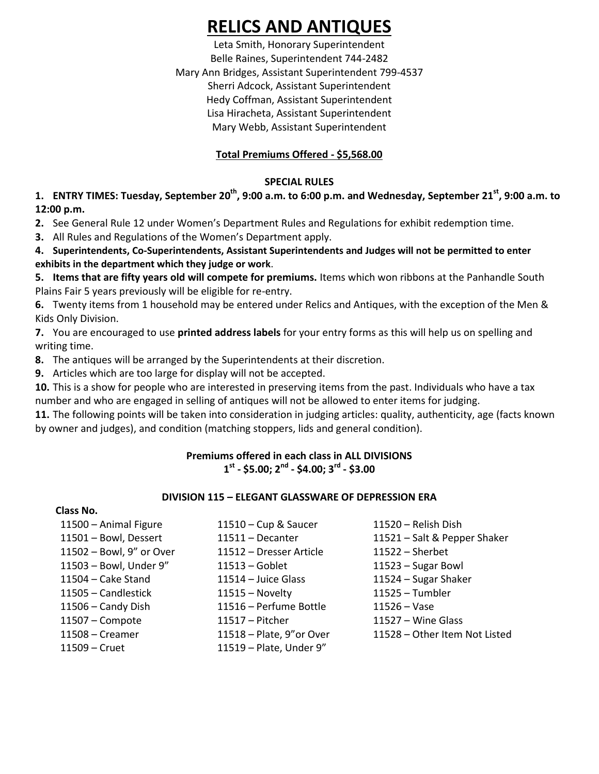# **RELICS AND ANTIQUES**

Leta Smith, Honorary Superintendent Belle Raines, Superintendent 744-2482 Mary Ann Bridges, Assistant Superintendent 799-4537 Sherri Adcock, Assistant Superintendent Hedy Coffman, Assistant Superintendent Lisa Hiracheta, Assistant Superintendent Mary Webb, Assistant Superintendent

# **Total Premiums Offered - \$5,568.00**

# **SPECIAL RULES**

**1. ENTRY TIMES: Tuesday, September 20th , 9:00 a.m. to 6:00 p.m. and Wednesday, September 21st , 9:00 a.m. to 12:00 p.m.**

**2.** See General Rule 12 under Women's Department Rules and Regulations for exhibit redemption time.

**3.** All Rules and Regulations of the Women's Department apply.

**4. Superintendents, Co-Superintendents, Assistant Superintendents and Judges will not be permitted to enter exhibits in the department which they judge or work**.

**5. Items that are fifty years old will compete for premiums.** Items which won ribbons at the Panhandle South Plains Fair 5 years previously will be eligible for re-entry.

**6.** Twenty items from 1 household may be entered under Relics and Antiques, with the exception of the Men & Kids Only Division.

**7.** You are encouraged to use **printed address labels** for your entry forms as this will help us on spelling and writing time.

**8.** The antiques will be arranged by the Superintendents at their discretion.

**9.** Articles which are too large for display will not be accepted.

**10.** This is a show for people who are interested in preserving items from the past. Individuals who have a tax number and who are engaged in selling of antiques will not be allowed to enter items for judging.

**11.** The following points will be taken into consideration in judging articles: quality, authenticity, age (facts known by owner and judges), and condition (matching stoppers, lids and general condition).

# **Premiums offered in each class in ALL DIVISIONS 1 st - \$5.00; 2nd - \$4.00; 3rd - \$3.00**

# **DIVISION 115 – ELEGANT GLASSWARE OF DEPRESSION ERA**

| Class No. |
|-----------|
|-----------|

| 11521 - Salt & Pepper Shaker  |
|-------------------------------|
|                               |
|                               |
|                               |
|                               |
|                               |
|                               |
| 11528 - Other Item Not Listed |
|                               |
|                               |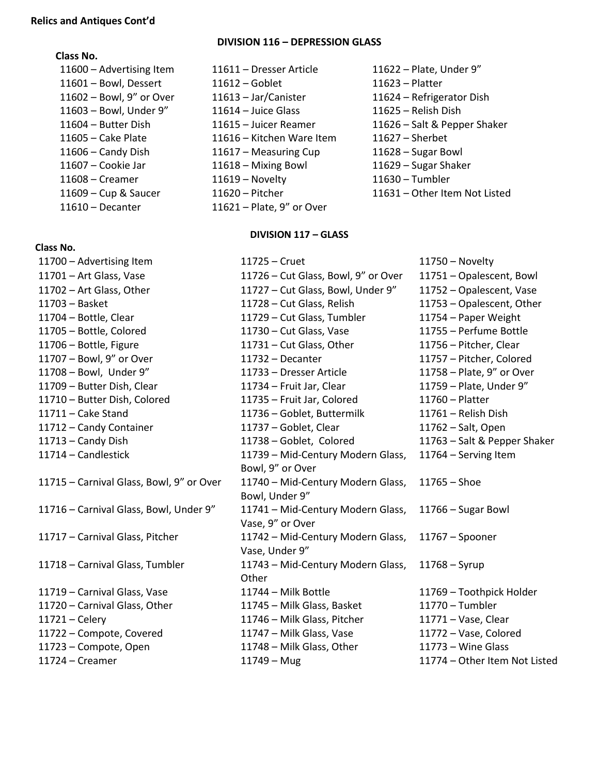#### **Class No.**

11610 – Decanter 11621 – Plate, 9" or Over

#### **Class No.**

 $11700 -$  Advertising Item  $11701 -$  Art Glass, Vase  $11702$  – Art Glass, Other  $11703 -$  Basket  $11704 -$  Bottle, Clear  $11705$  – Bottle, Colored  $11706 -$  Bottle, Figure  $11707$  – Bowl, 9" or Over  $11708 -$  Bowl, Under 9" 11709 – Butter Dish, Clear 11710 – Butter Dish, Colored  $11711 -$  Cake Stand 11712 – Candy Container  $11713 -$  Candy Dish  $11714$  – Candlestick 11715 – Carnival Glass, Bowl, 9" or 11716 – Carnival Glass, Bowl, Unde 11717 – Carnival Glass, Pitcher 11718 – Carnival Glass, Tumbler 11719 – Carnival Glass, Vase 11720 – Carnival Glass, Other  $11721 -$  Celery 11722 – Compote, Covered  $11723 -$  Compote, Open  $11724 - C$ reamer

## **DIVISION 116 – DEPRESSION GLASS**

- 11600 Advertising Item 11611 Dresser Article 11622 Plate, Under 9" 11601 – Bowl, Dessert 11612 – Goblet 11623 – Platter 11602 – Bowl, 9" or Over 11613 – Jar/Canister 11624 – Refrigerator Dish 11603 – Bowl, Under 9" 11614 – Juice Glass 11625 – Relish Dish 11604 – Butter Dish 11615 – Juicer Reamer 11626 – Salt & Pepper Shaker 11605 – Cake Plate 11616 – Kitchen Ware Item 11627 – Sherbet 11606 – Candy Dish 11617 – Measuring Cup 11628 – Sugar Bowl 11607 – Cookie Jar 11618 – Mixing Bowl 11629 – Sugar Shaker 11608 – Creamer 11619 – Novelty 11630 – Tumbler 11609 – Cup & Saucer 11620 – Pitcher 11631 – Other Item Not Listed
	-

## **DIVISION 117 – GLASS**

|        | 11725 – Cruet                       | $11750 -$ Novelty             |
|--------|-------------------------------------|-------------------------------|
|        | 11726 - Cut Glass, Bowl, 9" or Over | 11751 - Opalescent, Bowl      |
|        | 11727 - Cut Glass, Bowl, Under 9"   | 11752 - Opalescent, Vase      |
|        | 11728 - Cut Glass, Relish           | 11753 - Opalescent, Other     |
|        | 11729 - Cut Glass, Tumbler          | 11754 - Paper Weight          |
|        | 11730 - Cut Glass, Vase             | 11755 - Perfume Bottle        |
|        | 11731 - Cut Glass, Other            | 11756 - Pitcher, Clear        |
|        | $11732 -$ Decanter                  | 11757 - Pitcher, Colored      |
|        | 11733 - Dresser Article             | 11758 - Plate, 9" or Over     |
|        | 11734 - Fruit Jar, Clear            | 11759 - Plate, Under 9"       |
|        | 11735 - Fruit Jar, Colored          | 11760 - Platter               |
|        | 11736 - Goblet, Buttermilk          | 11761 - Relish Dish           |
|        | 11737 - Goblet, Clear               | 11762 - Salt, Open            |
|        | 11738 - Goblet, Colored             | 11763 - Salt & Pepper Shaker  |
|        | 11739 - Mid-Century Modern Glass,   | 11764 - Serving Item          |
|        | Bowl, 9" or Over                    |                               |
| r Over | 11740 - Mid-Century Modern Glass,   | $11765 -$ Shoe                |
|        | Bowl, Under 9"                      |                               |
| er 9"  | 11741 - Mid-Century Modern Glass,   | $11766 -$ Sugar Bowl          |
|        | Vase, 9" or Over                    |                               |
|        | 11742 - Mid-Century Modern Glass,   | $11767 - Spooner$             |
|        | Vase, Under 9"                      |                               |
|        | 11743 - Mid-Century Modern Glass,   | $11768 - Syrup$               |
|        | Other                               |                               |
|        | 11744 - Milk Bottle                 | 11769 - Toothpick Holder      |
|        | 11745 - Milk Glass, Basket          | $11770 - Tumbler$             |
|        | 11746 - Milk Glass, Pitcher         | 11771 - Vase, Clear           |
|        | 11747 - Milk Glass, Vase            | 11772 - Vase, Colored         |
|        | 11748 - Milk Glass, Other           | $11773 -$ Wine Glass          |
|        | $11749 - Mug$                       | 11774 - Other Item Not Listed |
|        |                                     |                               |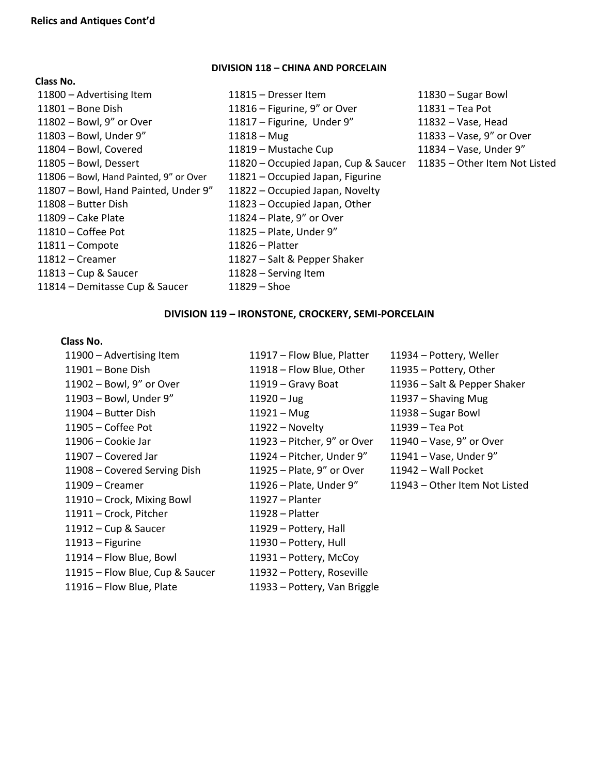**Class No.** 

#### **DIVISION 118 – CHINA AND PORCELAIN**

| 11800 - Advertising Item               | 11815 - Dresser Item                 | $11830 - Sugar Bowl$          |
|----------------------------------------|--------------------------------------|-------------------------------|
| 11801 - Bone Dish                      | 11816 – Figurine, $9''$ or Over      | 11831 - Tea Pot               |
| 11802 - Bowl, 9" or Over               | 11817 - Figurine, Under 9"           | 11832 - Vase, Head            |
| 11803 - Bowl, Under 9"                 | $11818 - Mug$                        | 11833 - Vase, 9" or Over      |
| 11804 - Bowl, Covered                  | 11819 - Mustache Cup                 | 11834 - Vase, Under 9"        |
| 11805 - Bowl, Dessert                  | 11820 - Occupied Japan, Cup & Saucer | 11835 - Other Item Not Listed |
| 11806 - Bowl, Hand Painted, 9" or Over | 11821 - Occupied Japan, Figurine     |                               |
| 11807 - Bowl, Hand Painted, Under 9"   | 11822 - Occupied Japan, Novelty      |                               |
| 11808 - Butter Dish                    | 11823 – Occupied Japan, Other        |                               |
| 11809 - Cake Plate                     | 11824 - Plate, 9" or Over            |                               |
| 11810 – Coffee Pot                     | 11825 - Plate, Under 9"              |                               |
| $11811 -$ Compote                      | $11826 -$ Platter                    |                               |
| 11812 – Creamer                        | 11827 – Salt & Pepper Shaker         |                               |
| 11813 – Cup & Saucer                   | 11828 - Serving Item                 |                               |
| 11814 - Demitasse Cup & Saucer         | $11829 -$ Shoe                       |                               |

#### **DIVISION 119 – IRONSTONE, CROCKERY, SEMI-PORCELAIN**

#### **Class No.**

– Advertising Item 11917 – Flow Blue, Platter 11934 – Pottery, Weller – Bone Dish 11918 – Flow Blue, Other 11935 – Pottery, Other – Bowl, 9" or Over 11919 – Gravy Boat 11936 – Salt & Pepper Shaker – Bowl, Under 9" 11920 – Jug 11937 – Shaving Mug – Butter Dish 11921 – Mug 11938 – Sugar Bowl – Coffee Pot 11922 – Novelty 11939 – Tea Pot – Cookie Jar 11923 – Pitcher, 9" or Over 11940 – Vase, 9" or Over – Covered Jar 11924 – Pitcher, Under 9" 11941 – Vase, Under 9" – Covered Serving Dish 11925 – Plate, 9" or Over 11942 – Wall Pocket – Creamer 11926 – Plate, Under 9" 11943 – Other Item Not Listed – Crock, Mixing Bowl 11927 – Planter – Crock, Pitcher 11928 – Platter – Cup & Saucer 11929 – Pottery, Hall – Figurine 11930 – Pottery, Hull – Flow Blue, Bowl 11931 – Pottery, McCoy – Flow Blue, Cup & Saucer 11932 – Pottery, Roseville – Flow Blue, Plate 11933 – Pottery, Van Briggle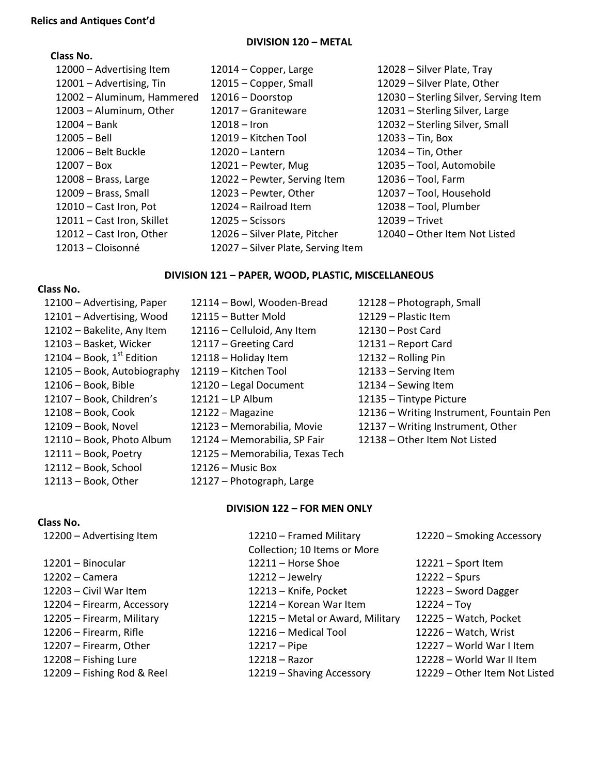## **DIVISION 120 – METAL**

# **Class No.**

| 12014 – Copper, Large              | 12028 - Silver Plate, Tray            |
|------------------------------------|---------------------------------------|
| 12015 – Copper, Small              | 12029 - Silver Plate, Other           |
| 12016 - Doorstop                   | 12030 - Sterling Silver, Serving Item |
| 12017 - Graniteware                | 12031 - Sterling Silver, Large        |
| $12018 -$ Iron                     | 12032 – Sterling Silver, Small        |
| 12019 – Kitchen Tool               | $12033 - Tin$ , Box                   |
| $12020 -$ Lantern                  | 12034 – Tin, Other                    |
| 12021 - Pewter, Mug                | 12035 - Tool, Automobile              |
| 12022 - Pewter, Serving Item       | $12036 - Tool$ , Farm                 |
| 12023 - Pewter, Other              | 12037 - Tool, Household               |
| 12024 – Railroad Item              | 12038 - Tool, Plumber                 |
| $12025 - S$ cissors                | 12039 - Trivet                        |
| 12026 - Silver Plate, Pitcher      | 12040 – Other Item Not Listed         |
| 12027 - Silver Plate, Serving Item |                                       |
|                                    |                                       |

# **DIVISION 121 – PAPER, WOOD, PLASTIC, MISCELLANEOUS**

# **Class No.**

**Class No.** 

| 12100 - Advertising, Paper     | 12114 - Bowl, Wooden-Bread      | 12128 - Photograph, Small                |
|--------------------------------|---------------------------------|------------------------------------------|
| 12101 - Advertising, Wood      | 12115 - Butter Mold             | 12129 - Plastic Item                     |
| 12102 - Bakelite, Any Item     | 12116 – Celluloid, Any Item     | 12130 - Post Card                        |
| 12103 - Basket, Wicker         | 12117 - Greeting Card           | 12131 - Report Card                      |
| 12104 – Book, $1^{st}$ Edition | 12118 - Holiday Item            | 12132 - Rolling Pin                      |
| 12105 - Book, Autobiography    | 12119 - Kitchen Tool            | 12133 - Serving Item                     |
| $12106 - Book$ , Bible         | 12120 - Legal Document          | 12134 - Sewing Item                      |
| 12107 - Book, Children's       | 12121 - LP Album                | 12135 - Tintype Picture                  |
| 12108 - Book, Cook             | 12122 - Magazine                | 12136 - Writing Instrument, Fountain Pen |
| 12109 - Book, Novel            | 12123 - Memorabilia, Movie      | 12137 - Writing Instrument, Other        |
| 12110 - Book, Photo Album      | 12124 - Memorabilia, SP Fair    | 12138 - Other Item Not Listed            |
| 12111 - Book, Poetry           | 12125 - Memorabilia, Texas Tech |                                          |
| 12112 - Book, School           | $12126 -$ Music Box             |                                          |
| $12113 - Book$ , Other         | 12127 - Photograph, Large       |                                          |

### **DIVISION 122 – FOR MEN ONLY**

| 12200 - Advertising Item   | 12210 - Framed Military<br>Collection; 10 Items or More | 12220 - Smoking Accessory     |
|----------------------------|---------------------------------------------------------|-------------------------------|
| 12201 – Binocular          | 12211 - Horse Shoe                                      | $12221 -$ Sport Item          |
| 12202 – Camera             | $12212 -$ Jewelry                                       | $12222 - Spurs$               |
| 12203 - Civil War Item     | 12213 - Knife, Pocket                                   | 12223 - Sword Dagger          |
| 12204 - Firearm, Accessory | 12214 – Korean War Item                                 | $12224 - Toy$                 |
| 12205 - Firearm, Military  | 12215 - Metal or Award, Military                        | 12225 - Watch, Pocket         |
| 12206 - Firearm, Rifle     | 12216 - Medical Tool                                    | 12226 - Watch, Wrist          |
| 12207 - Firearm, Other     | $12217 -$ Pipe                                          | 12227 - World War I Item      |
| 12208 - Fishing Lure       | $12218 -$ Razor                                         | 12228 - World War II Item     |
| 12209 – Fishing Rod & Reel | 12219 - Shaving Accessory                               | 12229 - Other Item Not Listed |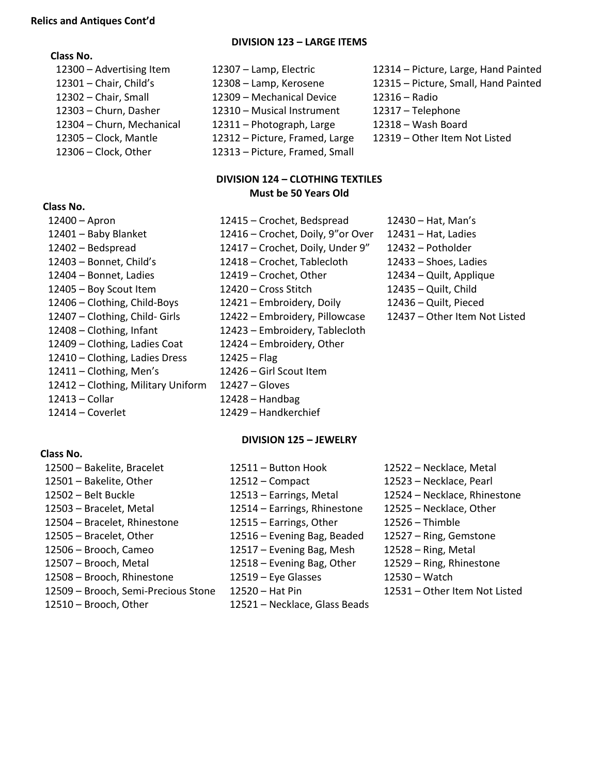#### **Class No.**

# **Class No.**

– Clothing, Infant 12423 – Embroidery, Tablecloth – Clothing, Ladies Coat 12424 – Embroidery, Other – Clothing, Ladies Dress 12425 – Flag – Clothing, Men's 12426 – Girl Scout Item – Clothing, Military Uniform 12427 – Gloves – Collar 12428 – Handbag – Coverlet 12429 – Handkerchief

- **DIVISION 123 – LARGE ITEMS**
- Advertising Item 12307 Lamp, Electric 12314 Picture, Large, Hand Painted – Chair, Small 12309 – Mechanical Device 12316 – Radio – Churn, Dasher 12310 – Musical Instrument 12317 – Telephone – Churn, Mechanical 12311 – Photograph, Large 12318 – Wash Board – Clock, Mantle 12312 – Picture, Framed, Large 12319 – Other Item Not Listed – Clock, Other 12313 – Picture, Framed, Small

## **DIVISION 124 – CLOTHING TEXTILES Must be 50 Years Old**

– Apron 12415 – Crochet, Bedspread 12430 – Hat, Man's – Baby Blanket 12416 – Crochet, Doily, 9"or Over 12431 – Hat, Ladies – Bedspread 12417 – Crochet, Doily, Under 9" 12432 – Potholder – Bonnet, Child's 12418 – Crochet, Tablecloth 12433 – Shoes, Ladies – Bonnet, Ladies 12419 – Crochet, Other 12434 – Quilt, Applique – Boy Scout Item 12420 – Cross Stitch 12435 – Quilt, Child – Clothing, Child-Boys 12421 – Embroidery, Doily 12436 – Quilt, Pieced – Clothing, Child- Girls 12422 – Embroidery, Pillowcase 12437 – Other Item Not Listed

- Chair, Child's 12308 Lamp, Kerosene 12315 Picture, Small, Hand Painted
	-
	-
	- -

# **Class No.**

– Bakelite, Bracelet 12511 – Button Hook 12522 – Necklace, Metal – Bakelite, Other 12512 – Compact 12523 – Necklace, Pearl – Belt Buckle 12513 – Earrings, Metal 12524 – Necklace, Rhinestone – Bracelet, Metal 12514 – Earrings, Rhinestone 12525 – Necklace, Other – Bracelet, Rhinestone 12515 – Earrings, Other 12526 – Thimble – Bracelet, Other 12516 – Evening Bag, Beaded 12527 – Ring, Gemstone – Brooch, Cameo 12517 – Evening Bag, Mesh 12528 – Ring, Metal – Brooch, Metal 12518 – Evening Bag, Other 12529 – Ring, Rhinestone – Brooch, Rhinestone 12519 – Eye Glasses 12530 – Watch – Brooch, Semi-Precious Stone 12520 – Hat Pin 12531 – Other Item Not Listed – Brooch, Other 12521 – Necklace, Glass Beads

# **DIVISION 125 – JEWELRY**

- 
-